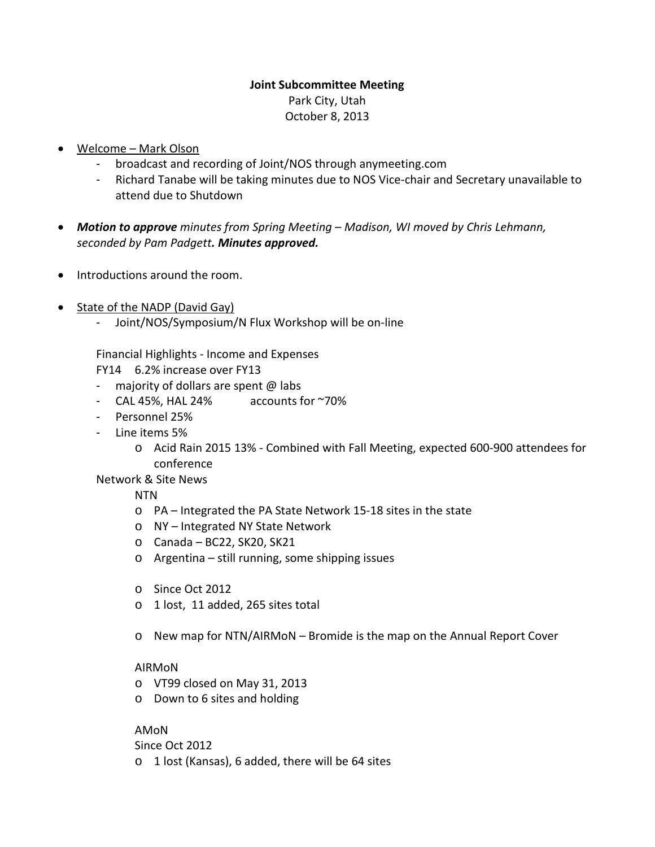# **Joint Subcommittee Meeting** Park City, Utah October 8, 2013

- Welcome Mark Olson
	- broadcast and recording of Joint/NOS through anymeeting.com
	- Richard Tanabe will be taking minutes due to NOS Vice-chair and Secretary unavailable to attend due to Shutdown
- *Motion to approve minutes from Spring Meeting – Madison, WI moved by Chris Lehmann, seconded by Pam Padgett. Minutes approved.*
- Introductions around the room.
- State of the NADP (David Gay)
	- Joint/NOS/Symposium/N Flux Workshop will be on-line

Financial Highlights - Income and Expenses

- FY14 6.2% increase over FY13
- 
- majority of dollars are spent @ labs<br>- CAL 45%. HAL 24% accounts for ~70% - CAL 45%, HAL 24%
- Personnel 25%
- Line items 5%
	- o Acid Rain 2015 13% Combined with Fall Meeting, expected 600-900 attendees for conference

Network & Site News

NTN

- o PA Integrated the PA State Network 15-18 sites in the state
- o NY Integrated NY State Network
- o Canada BC22, SK20, SK21
- o Argentina still running, some shipping issues
- o Since Oct 2012
- o 1 lost, 11 added, 265 sites total
- o New map for NTN/AIRMoN Bromide is the map on the Annual Report Cover

### AIRMoN

- o VT99 closed on May 31, 2013
- o Down to 6 sites and holding

### AMoN

Since Oct 2012

o 1 lost (Kansas), 6 added, there will be 64 sites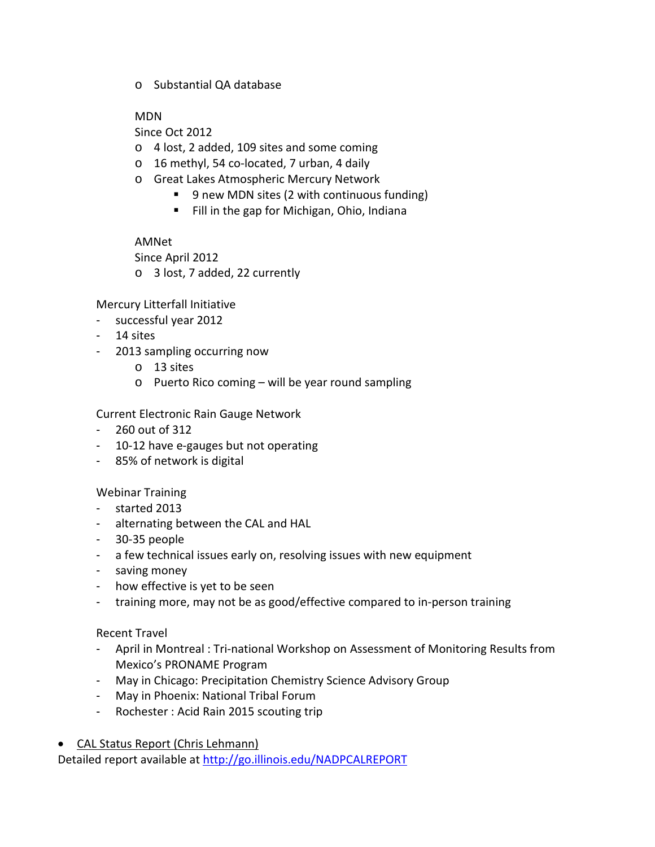o Substantial QA database

### MDN

Since Oct 2012

- o 4 lost, 2 added, 109 sites and some coming
- o 16 methyl, 54 co-located, 7 urban, 4 daily
- o Great Lakes Atmospheric Mercury Network
	- 9 new MDN sites (2 with continuous funding)
	- **Fill in the gap for Michigan, Ohio, Indiana**

# AMNet

Since April 2012

o 3 lost, 7 added, 22 currently

Mercury Litterfall Initiative

- successful year 2012
- 14 sites
- 2013 sampling occurring now
	- o 13 sites
	- o Puerto Rico coming will be year round sampling

Current Electronic Rain Gauge Network

- 260 out of 312
- 10-12 have e-gauges but not operating
- 85% of network is digital

# Webinar Training

- started 2013
- alternating between the CAL and HAL
- 30-35 people
- a few technical issues early on, resolving issues with new equipment
- saving money
- how effective is yet to be seen
- training more, may not be as good/effective compared to in-person training

# Recent Travel

- April in Montreal : Tri-national Workshop on Assessment of Monitoring Results from Mexico's PRONAME Program
- May in Chicago: Precipitation Chemistry Science Advisory Group
- May in Phoenix: National Tribal Forum
- Rochester : Acid Rain 2015 scouting trip
- CAL Status Report (Chris Lehmann)

Detailed report available a[t http://go.illinois.edu/NADPCALREPORT](http://go.illinois.edu/NADPCALREPORT)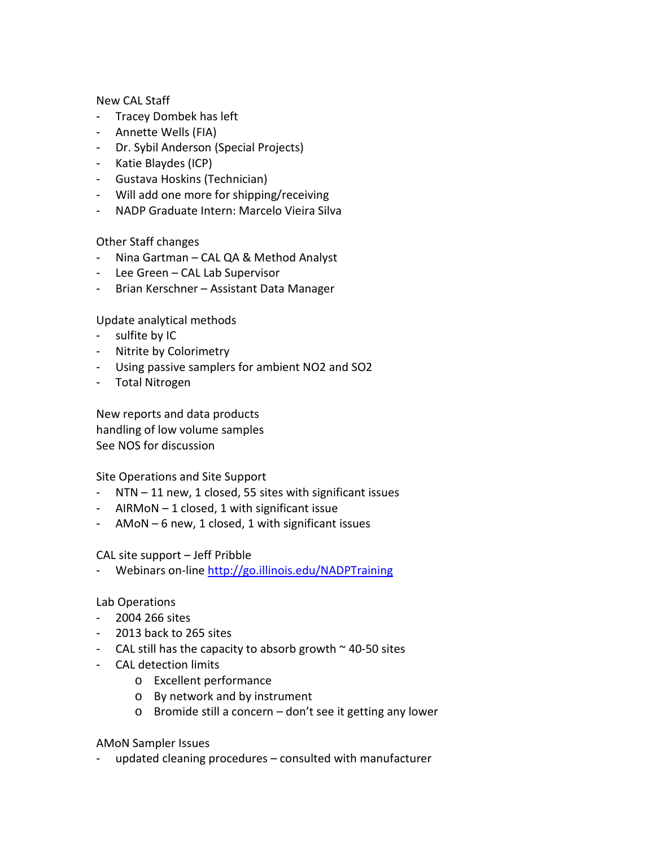### New CAL Staff

- Tracey Dombek has left
- Annette Wells (FIA)
- Dr. Sybil Anderson (Special Projects)
- Katie Blaydes (ICP)
- Gustava Hoskins (Technician)
- Will add one more for shipping/receiving
- NADP Graduate Intern: Marcelo Vieira Silva

# Other Staff changes

- Nina Gartman CAL QA & Method Analyst
- Lee Green CAL Lab Supervisor
- Brian Kerschner Assistant Data Manager

Update analytical methods

- sulfite by IC
- Nitrite by Colorimetry
- Using passive samplers for ambient NO2 and SO2
- Total Nitrogen

New reports and data products handling of low volume samples See NOS for discussion

Site Operations and Site Support

- NTN 11 new, 1 closed, 55 sites with significant issues
- AIRMoN 1 closed, 1 with significant issue
- AMoN 6 new, 1 closed, 1 with significant issues

# CAL site support – Jeff Pribble

- Webinars on-line<http://go.illinois.edu/NADPTraining>

# Lab Operations

- 2004 266 sites
- 2013 back to 265 sites
- CAL still has the capacity to absorb growth  $\sim$  40-50 sites
- CAL detection limits
	- o Excellent performance
	- o By network and by instrument
	- o Bromide still a concern don't see it getting any lower

AMoN Sampler Issues

updated cleaning procedures - consulted with manufacturer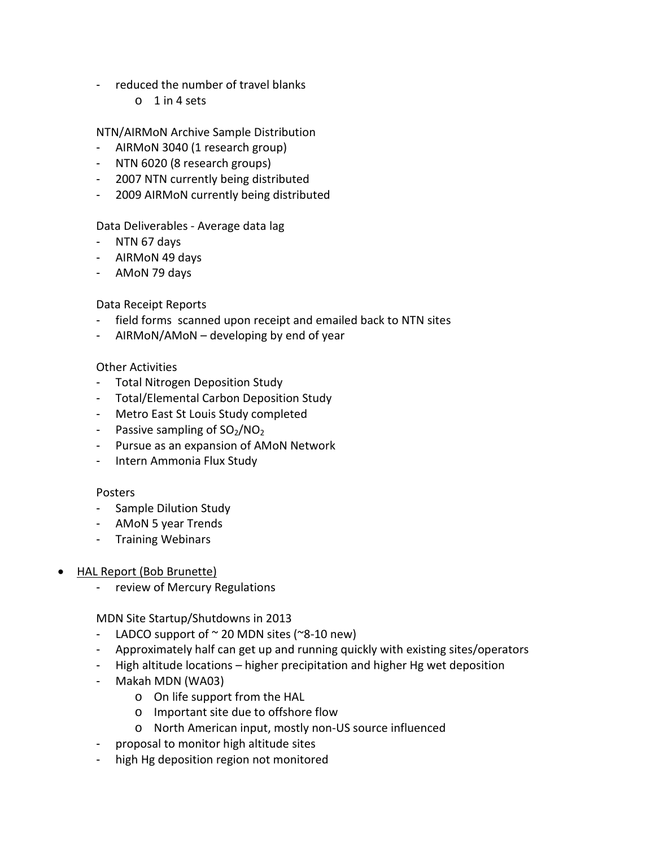- reduced the number of travel blanks
	- $o$  1 in 4 sets

NTN/AIRMoN Archive Sample Distribution

- AIRMoN 3040 (1 research group)
- NTN 6020 (8 research groups)
- 2007 NTN currently being distributed
- 2009 AIRMoN currently being distributed

Data Deliverables - Average data lag

- NTN 67 days
- AIRMoN 49 days
- AMoN 79 days

Data Receipt Reports

- field forms scanned upon receipt and emailed back to NTN sites
- AIRMoN/AMoN developing by end of year

### Other Activities

- Total Nitrogen Deposition Study
- Total/Elemental Carbon Deposition Study
- Metro East St Louis Study completed
- Passive sampling of  $SO<sub>2</sub>/NO<sub>2</sub>$
- Pursue as an expansion of AMoN Network
- Intern Ammonia Flux Study

### Posters

- Sample Dilution Study
- AMoN 5 year Trends
- Training Webinars
- HAL Report (Bob Brunette)
	- review of Mercury Regulations

MDN Site Startup/Shutdowns in 2013

- LADCO support of  $\sim$  20 MDN sites ( $\sim$ 8-10 new)
- Approximately half can get up and running quickly with existing sites/operators
- High altitude locations higher precipitation and higher Hg wet deposition
- Makah MDN (WA03)
	- o On life support from the HAL
	- o Important site due to offshore flow
	- o North American input, mostly non-US source influenced
- proposal to monitor high altitude sites
- high Hg deposition region not monitored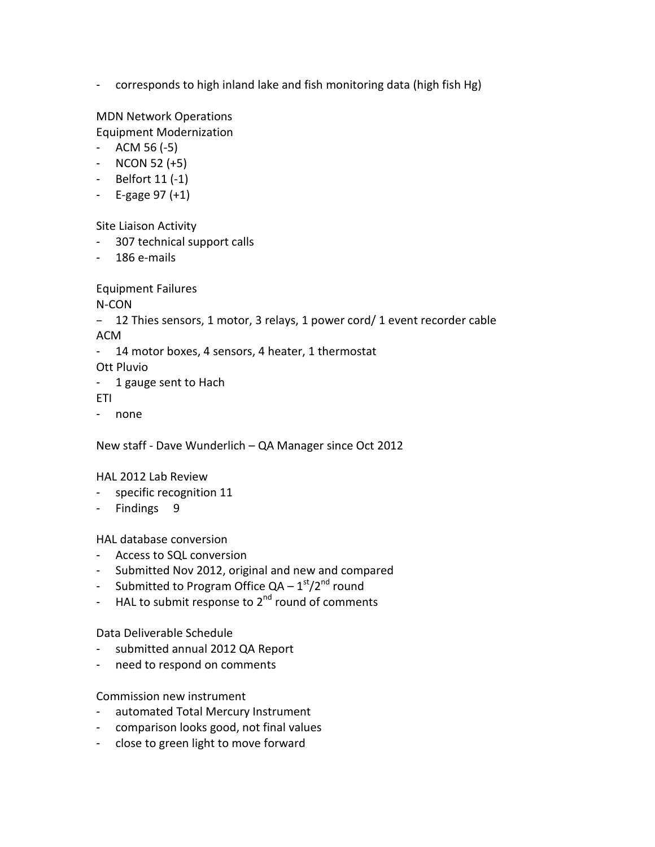- corresponds to high inland lake and fish monitoring data (high fish Hg)

MDN Network Operations

Equipment Modernization

- ACM 56 (-5)
- $-$  NCON 52 (+5)
- Belfort 11 (-1)
- E-gage  $97 (+1)$

Site Liaison Activity

- 307 technical support calls
- 186 e-mails

Equipment Failures

N-CON

– 12 Thies sensors, 1 motor, 3 relays, 1 power cord/ 1 event recorder cable ACM

- 14 motor boxes, 4 sensors, 4 heater, 1 thermostat

Ott Pluvio

- 1 gauge sent to Hach

ETI

- none

New staff - Dave Wunderlich – QA Manager since Oct 2012

### HAL 2012 Lab Review

- specific recognition 11
- Findings 9

### HAL database conversion

- Access to SQL conversion
- Submitted Nov 2012, original and new and compared
- Submitted to Program Office  $QA 1^{st}/2^{nd}$  round
- HAL to submit response to  $2<sup>nd</sup>$  round of comments

Data Deliverable Schedule

- submitted annual 2012 QA Report
- need to respond on comments

### Commission new instrument

- automated Total Mercury Instrument
- comparison looks good, not final values
- close to green light to move forward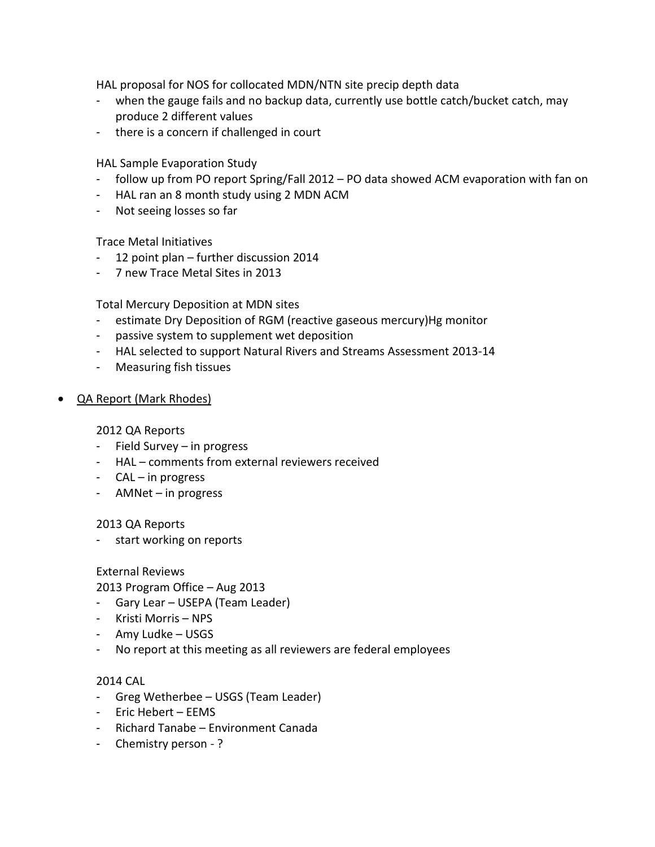HAL proposal for NOS for collocated MDN/NTN site precip depth data

- when the gauge fails and no backup data, currently use bottle catch/bucket catch, may produce 2 different values
- there is a concern if challenged in court

HAL Sample Evaporation Study

- follow up from PO report Spring/Fall 2012 PO data showed ACM evaporation with fan on
- HAL ran an 8 month study using 2 MDN ACM
- Not seeing losses so far

Trace Metal Initiatives

- 12 point plan further discussion 2014
- 7 new Trace Metal Sites in 2013

Total Mercury Deposition at MDN sites

- estimate Dry Deposition of RGM (reactive gaseous mercury)Hg monitor
- passive system to supplement wet deposition
- HAL selected to support Natural Rivers and Streams Assessment 2013-14
- Measuring fish tissues
- QA Report (Mark Rhodes)

2012 QA Reports

- Field Survey in progress
- HAL comments from external reviewers received
- CAL in progress
- AMNet in progress

2013 QA Reports

- start working on reports

External Reviews

2013 Program Office – Aug 2013

- Gary Lear USEPA (Team Leader)
- Kristi Morris NPS
- Amy Ludke USGS
- No report at this meeting as all reviewers are federal employees

### 2014 CAL

- Greg Wetherbee USGS (Team Leader)
- Eric Hebert EEMS
- Richard Tanabe Environment Canada
- Chemistry person ?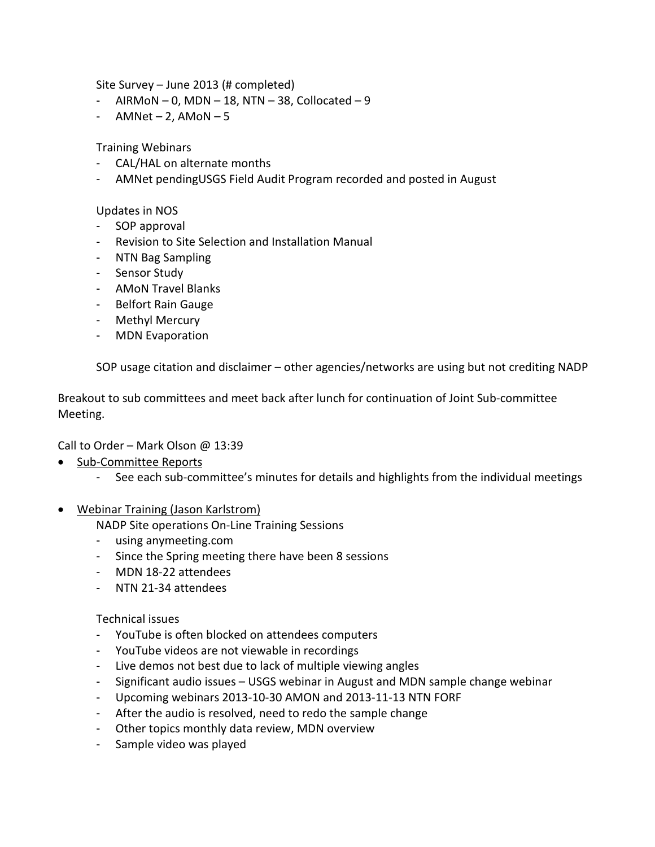Site Survey – June 2013 (# completed)

- $AlRMON 0$ , MDN 18, NTN 38, Collocated 9
- $AMNet 2$ ,  $AMON 5$

Training Webinars

- CAL/HAL on alternate months
- AMNet pendingUSGS Field Audit Program recorded and posted in August

Updates in NOS

- SOP approval
- Revision to Site Selection and Installation Manual
- NTN Bag Sampling
- Sensor Study
- AMoN Travel Blanks
- Belfort Rain Gauge
- Methyl Mercury
- MDN Evaporation

SOP usage citation and disclaimer – other agencies/networks are using but not crediting NADP

Breakout to sub committees and meet back after lunch for continuation of Joint Sub-committee Meeting.

Call to Order – Mark Olson  $\omega$  13:39

- Sub-Committee Reports
	- See each sub-committee's minutes for details and highlights from the individual meetings
- Webinar Training (Jason Karlstrom)
	- NADP Site operations On-Line Training Sessions
	- using anymeeting.com
	- Since the Spring meeting there have been 8 sessions
	- MDN 18-22 attendees
	- NTN 21-34 attendees

Technical issues

- YouTube is often blocked on attendees computers
- YouTube videos are not viewable in recordings
- Live demos not best due to lack of multiple viewing angles
- Significant audio issues USGS webinar in August and MDN sample change webinar
- Upcoming webinars 2013-10-30 AMON and 2013-11-13 NTN FORF
- After the audio is resolved, need to redo the sample change
- Other topics monthly data review, MDN overview
- Sample video was played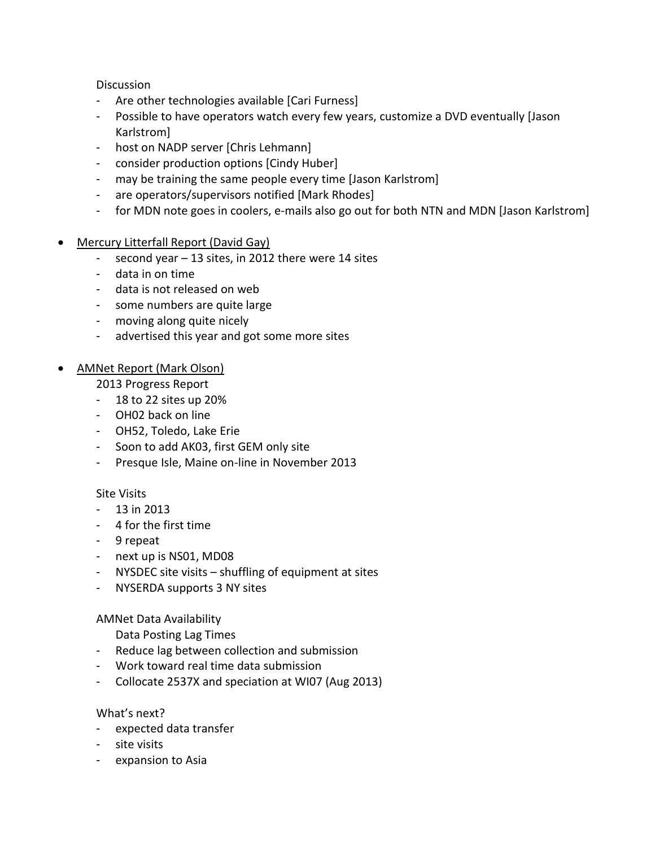**Discussion** 

- Are other technologies available [Cari Furness]
- Possible to have operators watch every few years, customize a DVD eventually [Jason Karlstrom]
- host on NADP server [Chris Lehmann]
- consider production options [Cindy Huber]
- may be training the same people every time [Jason Karlstrom]
- are operators/supervisors notified [Mark Rhodes]
- for MDN note goes in coolers, e-mails also go out for both NTN and MDN [Jason Karlstrom]
- Mercury Litterfall Report (David Gay)
	- second year 13 sites, in 2012 there were 14 sites
	- data in on time
	- data is not released on web
	- some numbers are quite large
	- moving along quite nicely
	- advertised this year and got some more sites
- AMNet Report (Mark Olson)
	- 2013 Progress Report
	- 18 to 22 sites up 20%
	- OH02 back on line
	- OH52, Toledo, Lake Erie
	- Soon to add AK03, first GEM only site
	- Presque Isle, Maine on-line in November 2013

# Site Visits

- $13$  in 2013
- 4 for the first time
- 9 repeat
- next up is NS01, MD08
- NYSDEC site visits shuffling of equipment at sites
- NYSERDA supports 3 NY sites

# AMNet Data Availability

Data Posting Lag Times

- Reduce lag between collection and submission
- Work toward real time data submission
- Collocate 2537X and speciation at WI07 (Aug 2013)

# What's next?

- expected data transfer
- site visits
- expansion to Asia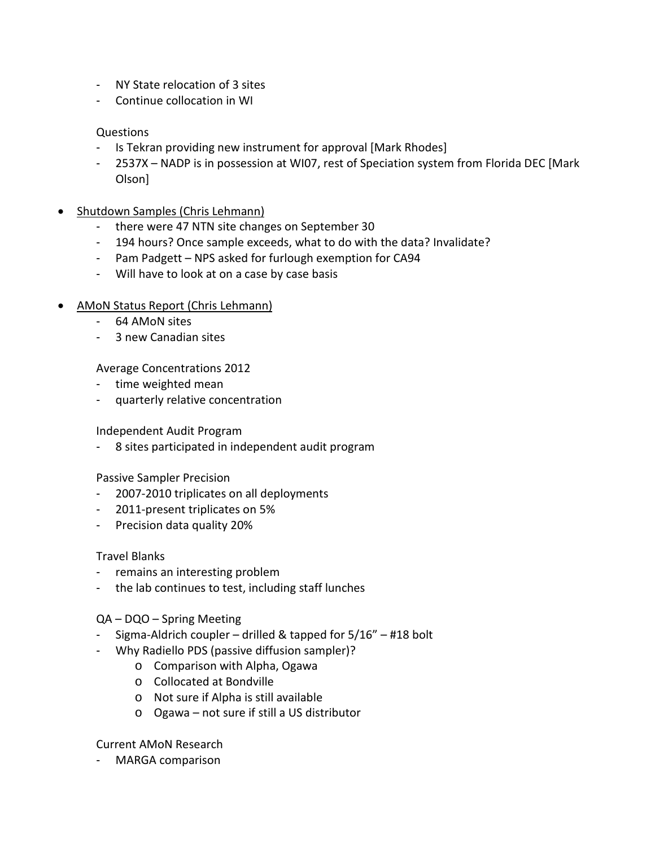- NY State relocation of 3 sites
- Continue collocation in WI

### Questions

- Is Tekran providing new instrument for approval [Mark Rhodes]
- 2537X NADP is in possession at WI07, rest of Speciation system from Florida DEC [Mark Olson]
- Shutdown Samples (Chris Lehmann)
	- there were 47 NTN site changes on September 30
	- 194 hours? Once sample exceeds, what to do with the data? Invalidate?
	- Pam Padgett NPS asked for furlough exemption for CA94
	- Will have to look at on a case by case basis
- AMoN Status Report (Chris Lehmann)
	- 64 AMoN sites
	- 3 new Canadian sites

Average Concentrations 2012

- time weighted mean
- quarterly relative concentration

#### Independent Audit Program

- 8 sites participated in independent audit program

#### Passive Sampler Precision

- 2007-2010 triplicates on all deployments
- 2011-present triplicates on 5%
- Precision data quality 20%

### Travel Blanks

- remains an interesting problem
- the lab continues to test, including staff lunches

### QA – DQO – Spring Meeting

- Sigma-Aldrich coupler drilled & tapped for 5/16" #18 bolt
- Why Radiello PDS (passive diffusion sampler)?
	- o Comparison with Alpha, Ogawa
		- o Collocated at Bondville
		- o Not sure if Alpha is still available
		- o Ogawa not sure if still a US distributor

### Current AMoN Research

- MARGA comparison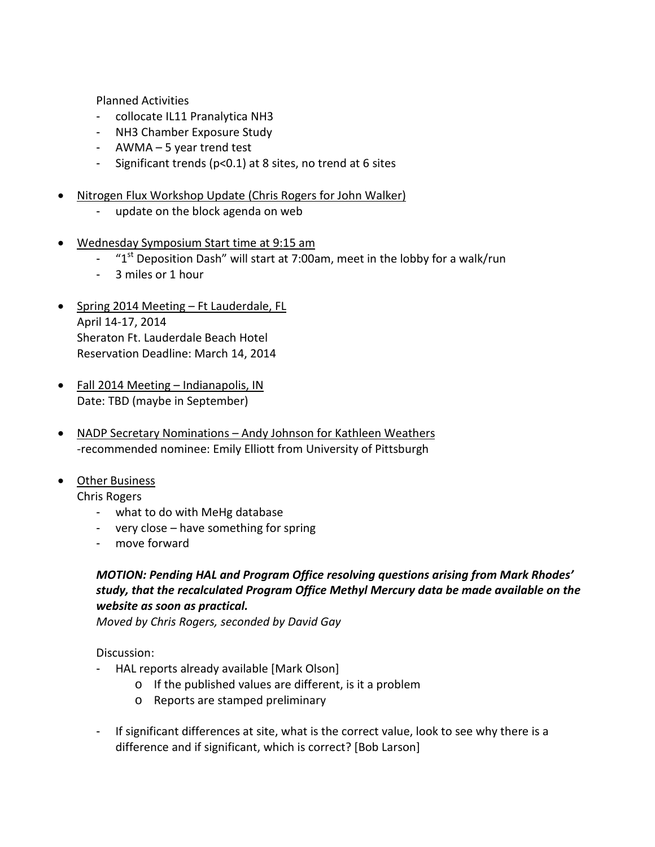Planned Activities

- collocate IL11 Pranalytica NH3
- NH3 Chamber Exposure Study
- AWMA 5 year trend test
- Significant trends (p<0.1) at 8 sites, no trend at 6 sites
- Nitrogen Flux Workshop Update (Chris Rogers for John Walker)
	- update on the block agenda on web
- Wednesday Symposium Start time at 9:15 am
	- "1<sup>st</sup> Deposition Dash" will start at 7:00am, meet in the lobby for a walk/run
	- 3 miles or 1 hour
- Spring 2014 Meeting Ft Lauderdale, FL April 14-17, 2014 Sheraton Ft. Lauderdale Beach Hotel Reservation Deadline: March 14, 2014
- Fall 2014 Meeting Indianapolis, IN Date: TBD (maybe in September)
- NADP Secretary Nominations Andy Johnson for Kathleen Weathers -recommended nominee: Emily Elliott from University of Pittsburgh
- Other Business

Chris Rogers

- what to do with MeHg database
- very close have something for spring
- move forward

# *MOTION: Pending HAL and Program Office resolving questions arising from Mark Rhodes' study, that the recalculated Program Office Methyl Mercury data be made available on the website as soon as practical.*

*Moved by Chris Rogers, seconded by David Gay*

Discussion:

- HAL reports already available [Mark Olson]
	- o If the published values are different, is it a problem
	- o Reports are stamped preliminary
- If significant differences at site, what is the correct value, look to see why there is a difference and if significant, which is correct? [Bob Larson]